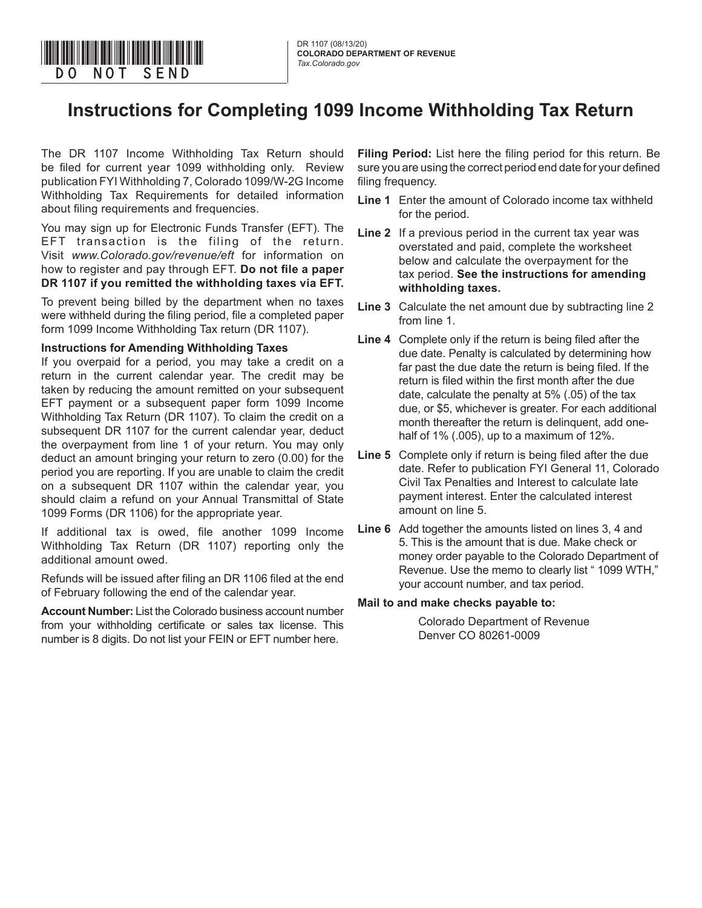# **Instructions for Completing 1099 Income Withholding Tax Return**

The DR 1107 Income Withholding Tax Return should be filed for current year 1099 withholding only. Review publication FYI Withholding 7, Colorado 1099/W-2G Income Withholding Tax Requirements for detailed information about filing requirements and frequencies.

You may sign up for Electronic Funds Transfer (EFT). The EFT transaction is the filing of the return. Visit *www.Colorado.gov/revenue/eft* for information on how to register and pay through EFT. **Do not file a paper DR 1107 if you remitted the withholding taxes via EFT.** 

To prevent being billed by the department when no taxes were withheld during the filing period, file a completed paper form 1099 Income Withholding Tax return (DR 1107).

#### **Instructions for Amending Withholding Taxes**

If you overpaid for a period, you may take a credit on a return in the current calendar year. The credit may be taken by reducing the amount remitted on your subsequent EFT payment or a subsequent paper form 1099 Income Withholding Tax Return (DR 1107). To claim the credit on a subsequent DR 1107 for the current calendar year, deduct the overpayment from line 1 of your return. You may only deduct an amount bringing your return to zero (0.00) for the period you are reporting. If you are unable to claim the credit on a subsequent DR 1107 within the calendar year, you should claim a refund on your Annual Transmittal of State 1099 Forms (DR 1106) for the appropriate year.

If additional tax is owed, file another 1099 Income Withholding Tax Return (DR 1107) reporting only the additional amount owed.

Refunds will be issued after filing an DR 1106 filed at the end of February following the end of the calendar year.

**Account Number:** List the Colorado business account number from your withholding certificate or sales tax license. This number is 8 digits. Do not list your FEIN or EFT number here.

**Filing Period:** List here the filing period for this return. Be sure you are using the correct period end date for your defined filing frequency.

- **Line 1** Enter the amount of Colorado income tax withheld for the period.
- **Line 2** If a previous period in the current tax year was overstated and paid, complete the worksheet below and calculate the overpayment for the tax period. **See the instructions for amending withholding taxes.**
- **Line 3** Calculate the net amount due by subtracting line 2 from line 1.
- **Line 4** Complete only if the return is being filed after the due date. Penalty is calculated by determining how far past the due date the return is being filed. If the return is filed within the first month after the due date, calculate the penalty at 5% (.05) of the tax due, or \$5, whichever is greater. For each additional month thereafter the return is delinquent, add onehalf of 1% (.005), up to a maximum of 12%.
- **Line 5** Complete only if return is being filed after the due date. Refer to publication FYI General 11, Colorado Civil Tax Penalties and Interest to calculate late payment interest. Enter the calculated interest amount on line 5.
- **Line 6** Add together the amounts listed on lines 3, 4 and 5. This is the amount that is due. Make check or money order payable to the Colorado Department of Revenue. Use the memo to clearly list " 1099 WTH," your account number, and tax period.

### **Mail to and make checks payable to:**

Colorado Department of Revenue Denver CO 80261-0009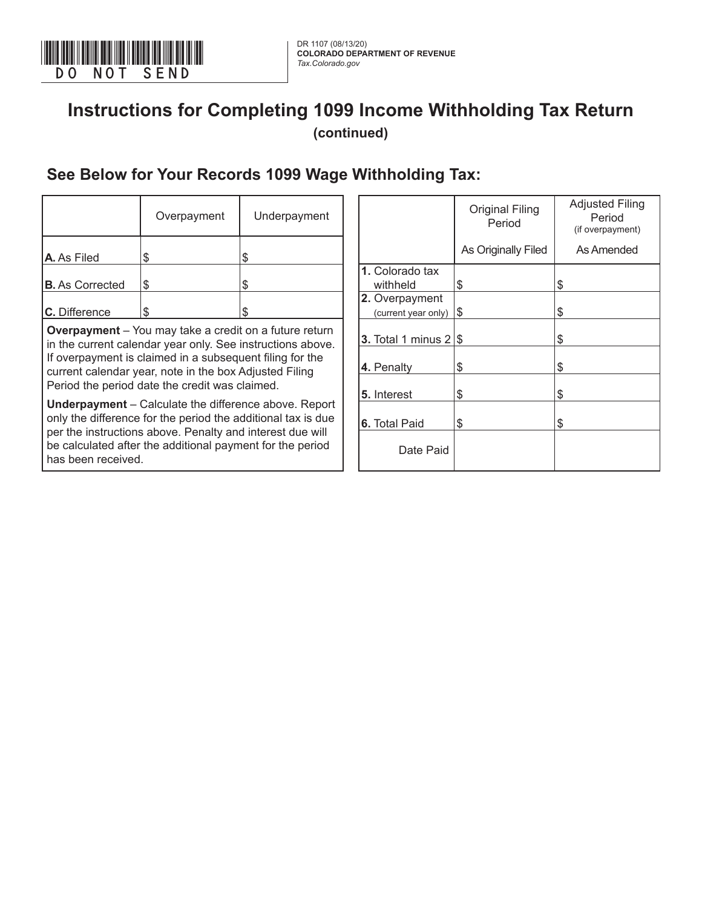

## **Instructions for Completing 1099 Income Withholding Tax Return (continued)**

### **See Below for Your Records 1099 Wage Withholding Tax:**

|                        | Overpayment                                                                                                                  | Underpayment |                              | <b>Original Filing</b><br>Period | <b>Adjusted Filin</b><br>Period<br>(if overpayment |
|------------------------|------------------------------------------------------------------------------------------------------------------------------|--------------|------------------------------|----------------------------------|----------------------------------------------------|
| A. As Filed            |                                                                                                                              |              |                              | As Originally Filed              | As Amended                                         |
|                        |                                                                                                                              |              | 1. Colorado tax              |                                  |                                                    |
| <b>B.</b> As Corrected | S                                                                                                                            |              | withheld                     | \$                               |                                                    |
|                        |                                                                                                                              |              | 2. Overpayment               |                                  |                                                    |
| C. Difference          | S                                                                                                                            |              | (current year only)          | 1\$                              |                                                    |
|                        | <b>Overpayment</b> – You may take a credit on a future return<br>in the current calendar year only. See instructions above.  |              | 3. Total 1 minus $2 \mid$ \$ |                                  |                                                    |
|                        | If overpayment is claimed in a subsequent filing for the<br>current calendar year, note in the box Adjusted Filing           |              | 4. Penalty                   | \$                               |                                                    |
|                        | Period the period date the credit was claimed.                                                                               |              | 5. Interest                  | \$                               |                                                    |
|                        | <b>Underpayment</b> – Calculate the difference above. Report<br>only the difference for the period the additional tax is due |              | <b>A</b> Total Paid          |                                  |                                                    |

per the instructions above. Penalty and interest due will be calculated after the additional payment for the period has been received.

|                                       | <b>Original Filing</b><br>Period | <b>Adjusted Filing</b><br>Period<br>(if overpayment) |
|---------------------------------------|----------------------------------|------------------------------------------------------|
|                                       | As Originally Filed              | As Amended                                           |
| 1. Colorado tax<br>withheld           | \$                               | \$                                                   |
| 2. Overpayment<br>(current year only) | \$                               | \$                                                   |
| 3. Total 1 minus $2 $ \$              |                                  | \$                                                   |
| 4. Penalty                            | \$                               | \$                                                   |
| 5. Interest                           | \$                               | \$                                                   |
| <b>6.</b> Total Paid                  | \$                               | \$                                                   |
| Date Paid                             |                                  |                                                      |